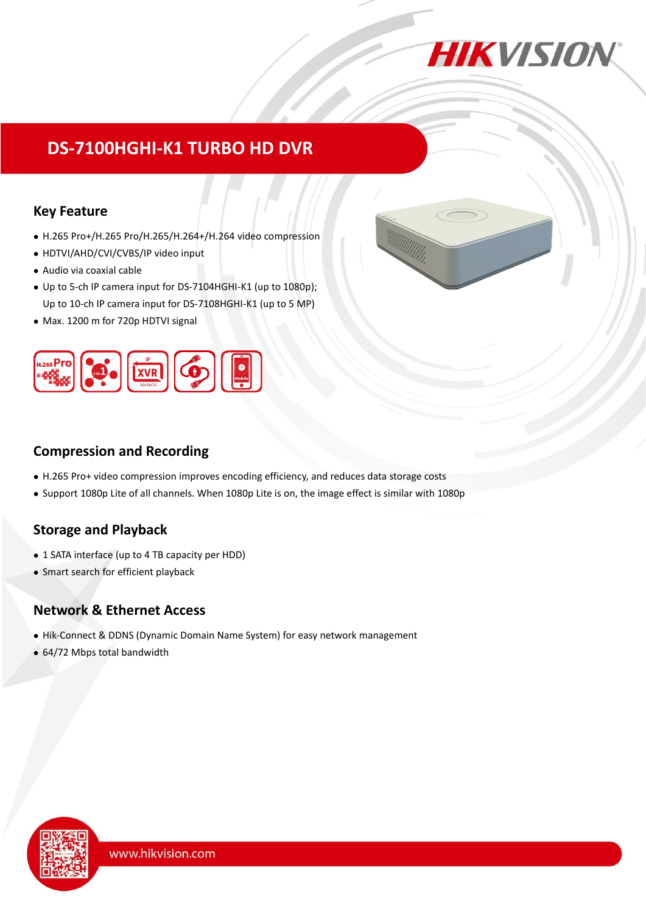

# **DS-7100HGHI-K1 TURBO HD DVR**

### **Key Feature**

- H.265 Pro+/H.265 Pro/H.265/H.264+/H.264 video compression
- HDTVI/AHD/CVI/CVBS/IP video input
- Audio via coaxial cable
- Up to 5-ch IP camera input for DS-7104HGHI-K1 (up to 1080p); Up to 10-ch IP camera input for DS-7108HGHI-K1 (up to 5 MP)
- Max. 1200 m for 720p HDTVI signal



### **Compression and Recording**

- H.265 Pro+ video compression improves encoding efficiency, and reduces data storage costs
- Support 1080p Lite of all channels. When 1080p Lite is on, the image effect is similar with 1080p

## **Storage and Playback**

- 1 SATA interface (up to 4 TB capacity per HDD)
- Smart search for efficient playback

### **Network & Ethernet Access**

- Hik-Connect & DDNS (Dynamic Domain Name System) for easy network management
- 64/72 Mbps total bandwidth

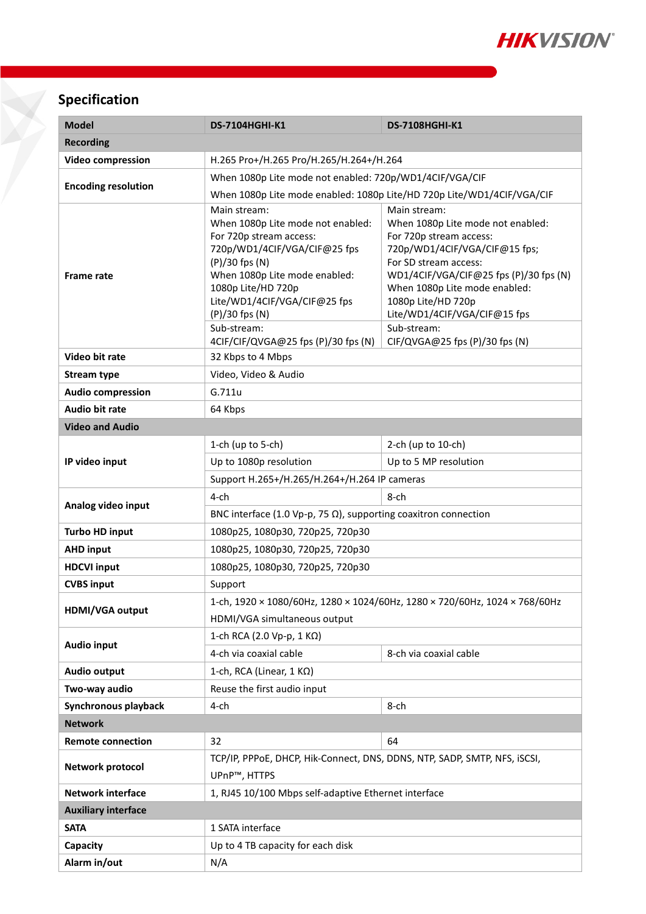

## **Specification**

| <b>Model</b>               | <b>DS-7104HGHI-K1</b>                                                                                                                                           | <b>DS-7108HGHI-K1</b>                                                                                                                                                            |  |  |  |  |
|----------------------------|-----------------------------------------------------------------------------------------------------------------------------------------------------------------|----------------------------------------------------------------------------------------------------------------------------------------------------------------------------------|--|--|--|--|
| <b>Recording</b>           |                                                                                                                                                                 |                                                                                                                                                                                  |  |  |  |  |
| <b>Video compression</b>   | H.265 Pro+/H.265 Pro/H.265/H.264+/H.264                                                                                                                         |                                                                                                                                                                                  |  |  |  |  |
| <b>Encoding resolution</b> | When 1080p Lite mode not enabled: 720p/WD1/4CIF/VGA/CIF                                                                                                         |                                                                                                                                                                                  |  |  |  |  |
|                            | When 1080p Lite mode enabled: 1080p Lite/HD 720p Lite/WD1/4CIF/VGA/CIF                                                                                          |                                                                                                                                                                                  |  |  |  |  |
| <b>Frame rate</b>          | Main stream:<br>When 1080p Lite mode not enabled:<br>For 720p stream access:<br>720p/WD1/4CIF/VGA/CIF@25 fps<br>(P)/30 fps (N)<br>When 1080p Lite mode enabled: | Main stream:<br>When 1080p Lite mode not enabled:<br>For 720p stream access:<br>720p/WD1/4CIF/VGA/CIF@15 fps;<br>For SD stream access:<br>WD1/4CIF/VGA/CIF@25 fps (P)/30 fps (N) |  |  |  |  |
|                            | 1080p Lite/HD 720p<br>When 1080p Lite mode enabled:<br>Lite/WD1/4CIF/VGA/CIF@25 fps<br>1080p Lite/HD 720p<br>Lite/WD1/4CIF/VGA/CIF@15 fps<br>$(P)/30$ fps $(N)$ |                                                                                                                                                                                  |  |  |  |  |
|                            | Sub-stream:<br>4CIF/CIF/QVGA@25 fps (P)/30 fps (N)                                                                                                              | Sub-stream:<br>CIF/QVGA@25 fps (P)/30 fps (N)                                                                                                                                    |  |  |  |  |
| Video bit rate             | 32 Kbps to 4 Mbps                                                                                                                                               |                                                                                                                                                                                  |  |  |  |  |
| <b>Stream type</b>         | Video, Video & Audio                                                                                                                                            |                                                                                                                                                                                  |  |  |  |  |
| <b>Audio compression</b>   | G.711u                                                                                                                                                          |                                                                                                                                                                                  |  |  |  |  |
| <b>Audio bit rate</b>      | 64 Kbps                                                                                                                                                         |                                                                                                                                                                                  |  |  |  |  |
| <b>Video and Audio</b>     |                                                                                                                                                                 |                                                                                                                                                                                  |  |  |  |  |
|                            | 1-ch (up to 5-ch)                                                                                                                                               | 2-ch (up to 10-ch)                                                                                                                                                               |  |  |  |  |
| IP video input             | Up to 1080p resolution                                                                                                                                          | Up to 5 MP resolution                                                                                                                                                            |  |  |  |  |
|                            | Support H.265+/H.265/H.264+/H.264 IP cameras                                                                                                                    |                                                                                                                                                                                  |  |  |  |  |
|                            | 4-ch                                                                                                                                                            | 8-ch                                                                                                                                                                             |  |  |  |  |
| Analog video input         | BNC interface (1.0 Vp-p, 75 $\Omega$ ), supporting coaxitron connection                                                                                         |                                                                                                                                                                                  |  |  |  |  |
| <b>Turbo HD input</b>      | 1080p25, 1080p30, 720p25, 720p30                                                                                                                                |                                                                                                                                                                                  |  |  |  |  |
| <b>AHD input</b>           | 1080p25, 1080p30, 720p25, 720p30                                                                                                                                |                                                                                                                                                                                  |  |  |  |  |
| <b>HDCVI input</b>         | 1080p25, 1080p30, 720p25, 720p30                                                                                                                                |                                                                                                                                                                                  |  |  |  |  |
| <b>CVBS input</b>          | Support                                                                                                                                                         |                                                                                                                                                                                  |  |  |  |  |
| HDMI/VGA output            | 1-ch, 1920 × 1080/60Hz, 1280 × 1024/60Hz, 1280 × 720/60Hz, 1024 × 768/60Hz                                                                                      |                                                                                                                                                                                  |  |  |  |  |
|                            | HDMI/VGA simultaneous output<br>1-ch RCA (2.0 Vp-p, 1 KΩ)                                                                                                       |                                                                                                                                                                                  |  |  |  |  |
| <b>Audio input</b>         | 4-ch via coaxial cable                                                                                                                                          | 8-ch via coaxial cable                                                                                                                                                           |  |  |  |  |
| <b>Audio output</b>        | 1-ch, RCA (Linear, 1 KΩ)                                                                                                                                        |                                                                                                                                                                                  |  |  |  |  |
| Two-way audio              | Reuse the first audio input                                                                                                                                     |                                                                                                                                                                                  |  |  |  |  |
| Synchronous playback       | $4$ -ch                                                                                                                                                         | 8-ch                                                                                                                                                                             |  |  |  |  |
| <b>Network</b>             |                                                                                                                                                                 |                                                                                                                                                                                  |  |  |  |  |
| <b>Remote connection</b>   | 32<br>64                                                                                                                                                        |                                                                                                                                                                                  |  |  |  |  |
| Network protocol           | TCP/IP, PPPoE, DHCP, Hik-Connect, DNS, DDNS, NTP, SADP, SMTP, NFS, iSCSI,<br>UPnP™, HTTPS                                                                       |                                                                                                                                                                                  |  |  |  |  |
| <b>Network interface</b>   | 1, RJ45 10/100 Mbps self-adaptive Ethernet interface                                                                                                            |                                                                                                                                                                                  |  |  |  |  |
| <b>Auxiliary interface</b> |                                                                                                                                                                 |                                                                                                                                                                                  |  |  |  |  |
| <b>SATA</b>                | 1 SATA interface                                                                                                                                                |                                                                                                                                                                                  |  |  |  |  |
| Capacity                   | Up to 4 TB capacity for each disk                                                                                                                               |                                                                                                                                                                                  |  |  |  |  |
| Alarm in/out               | N/A                                                                                                                                                             |                                                                                                                                                                                  |  |  |  |  |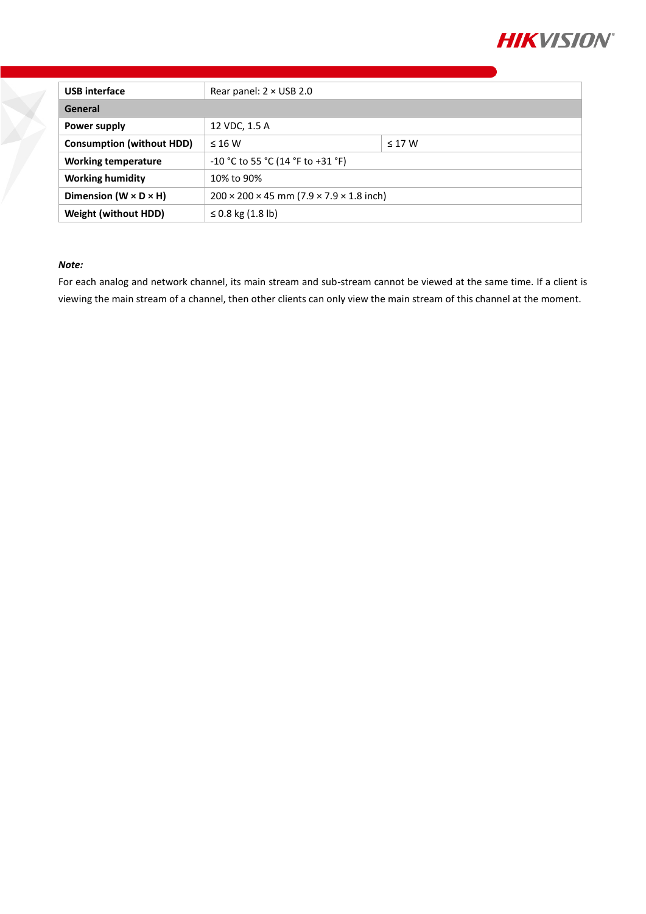

| <b>USB</b> interface                | Rear panel: $2 \times$ USB 2.0                                     |             |  |  |
|-------------------------------------|--------------------------------------------------------------------|-------------|--|--|
| General                             |                                                                    |             |  |  |
| Power supply                        | 12 VDC, 1.5 A                                                      |             |  |  |
| <b>Consumption (without HDD)</b>    | $\leq 16$ W                                                        | $\leq$ 17 W |  |  |
| <b>Working temperature</b>          | -10 °C to 55 °C (14 °F to +31 °F)                                  |             |  |  |
| <b>Working humidity</b>             | 10% to 90%                                                         |             |  |  |
| Dimension ( $W \times D \times H$ ) | $200 \times 200 \times 45$ mm (7.9 $\times$ 7.9 $\times$ 1.8 inch) |             |  |  |
| <b>Weight (without HDD)</b>         | ≤ 0.8 kg $(1.8 \text{ lb})$                                        |             |  |  |

#### *Note:*

For each analog and network channel, its main stream and sub-stream cannot be viewed at the same time. If a client is viewing the main stream of a channel, then other clients can only view the main stream of this channel at the moment.